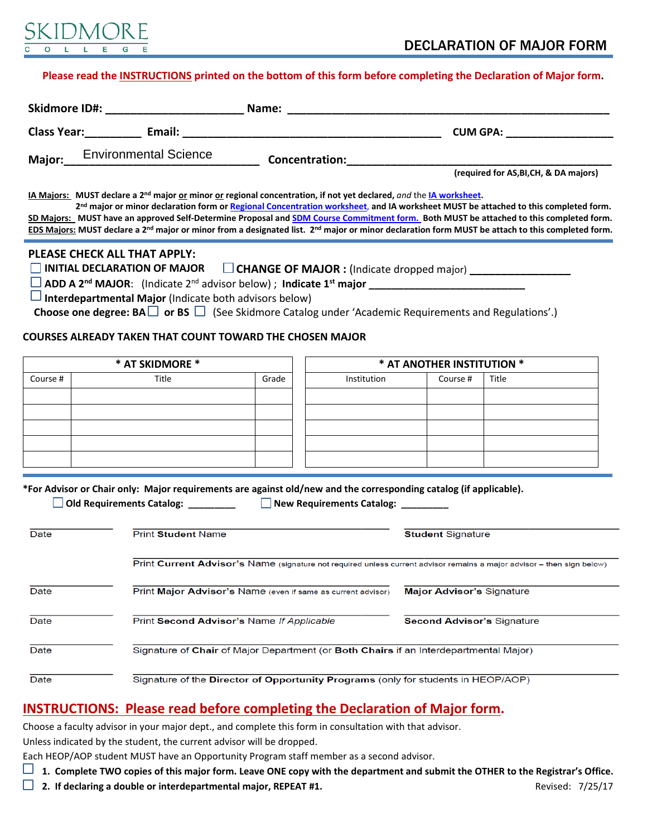

#### **Please read the [INSTRUCTIONS](#page-0-0) printed on the bottom of this form before completing the Declaration of Major form.**

| <b>Skidmore ID#:</b> |                              | Name:          |                                        |  |
|----------------------|------------------------------|----------------|----------------------------------------|--|
| <b>Class Year:</b>   | Email:                       |                | <b>CUM GPA:</b>                        |  |
| Major:               | <b>Environmental Science</b> | Concentration: | (required for AS, BI, CH, & DA majors) |  |

**IA Majors: MUST declare a 2nd major or minor or regional concentration, if not yet declared,** *and* the **[IA worksheet.](http://www.skidmore.edu/international_affairs/documents/Skidmore-Major-Worksheet-revised.pdf)** 

 **2nd major or minor declaration form or Regional Concentration worksheet**, **and IA worksheet MUST be attached to this completed form. SD Majors: MUST have an approved Self-Determine Proposal and [SDM Course Commitment form.](http://www.skidmore.edu/sdm/documents/2014-SDM-Declaration-Courses.docx) Both MUST be attached to this completed form. EDS Majors: MUST declare a 2nd major or minor from a designated list. 2nd major or minor declaration form MUST be attach to this completed form.**

#### **PLEASE CHECK ALL THAT APPLY:**

□ INITIAL DECLARATION OF MAJOR □ CHANGE OF MAJOR : (Indicate dropped major)

 **ADD A 2nd MAJOR**: (Indicate 2nd advisor below) ; **Indicate 1st major \_\_\_\_\_\_\_\_\_\_\_\_\_\_\_\_\_\_\_\_\_\_\_\_\_\_\_**

 **Interdepartmental Major** (Indicate both advisors below)

Choose one degree: BA □ or BS □ (See Skidmore Catalog under 'Academic Requirements and Regulations'.)

### **COURSES ALREADY TAKEN THAT COUNT TOWARD THE CHOSEN MAJOR**

| * AT SKIDMORE * |       |       | * AT ANOTHER INSTITUTION * |          |       |
|-----------------|-------|-------|----------------------------|----------|-------|
| Course #        | Title | Grade | Institution                | Course # | Title |
|                 |       |       |                            |          |       |
|                 |       |       |                            |          |       |
|                 |       |       |                            |          |       |
|                 |       |       |                            |          |       |
|                 |       |       |                            |          |       |

**\*For Advisor or Chair only: Major requirements are against old/new and the corresponding catalog (if applicable).**

 **Old Requirements Catalog: \_\_\_\_\_\_\_\_\_ New Requirements Catalog: \_\_\_\_\_\_\_\_\_** 

| Date | <b>Print Student Name</b>                                                                                              | <b>Student Signature</b>          |  |  |  |
|------|------------------------------------------------------------------------------------------------------------------------|-----------------------------------|--|--|--|
|      |                                                                                                                        |                                   |  |  |  |
|      | Print Current Advisor's Name (signature not required unless current advisor remains a major advisor - then sign below) |                                   |  |  |  |
| Date | Print Major Advisor's Name (even if same as current advisor)                                                           | <b>Major Advisor's Signature</b>  |  |  |  |
| Date | Print Second Advisor's Name If Applicable                                                                              | <b>Second Advisor's Signature</b> |  |  |  |
| Date | Signature of Chair of Major Department (or Both Chairs if an Interdepartmental Major)                                  |                                   |  |  |  |
| Date | Signature of the Director of Opportunity Programs (only for students in HEOP/AOP)                                      |                                   |  |  |  |

## <span id="page-0-0"></span>**INSTRUCTIONS: Please read before completing the Declaration of Major form.**

Choose a faculty advisor in your major dept., and complete this form in consultation with that advisor.

Unless indicated by the student, the current advisor will be dropped.

Each HEOP/AOP student MUST have an Opportunity Program staff member as a second advisor.

**1. Complete TWO copies of this major form. Leave ONE copy with the department and submit the OTHER to the Registrar's Office.**

**2.** If declaring a double or interdepartmental major, REPEAT #1. **Revised: 7/25/17** Revised: 7/25/17